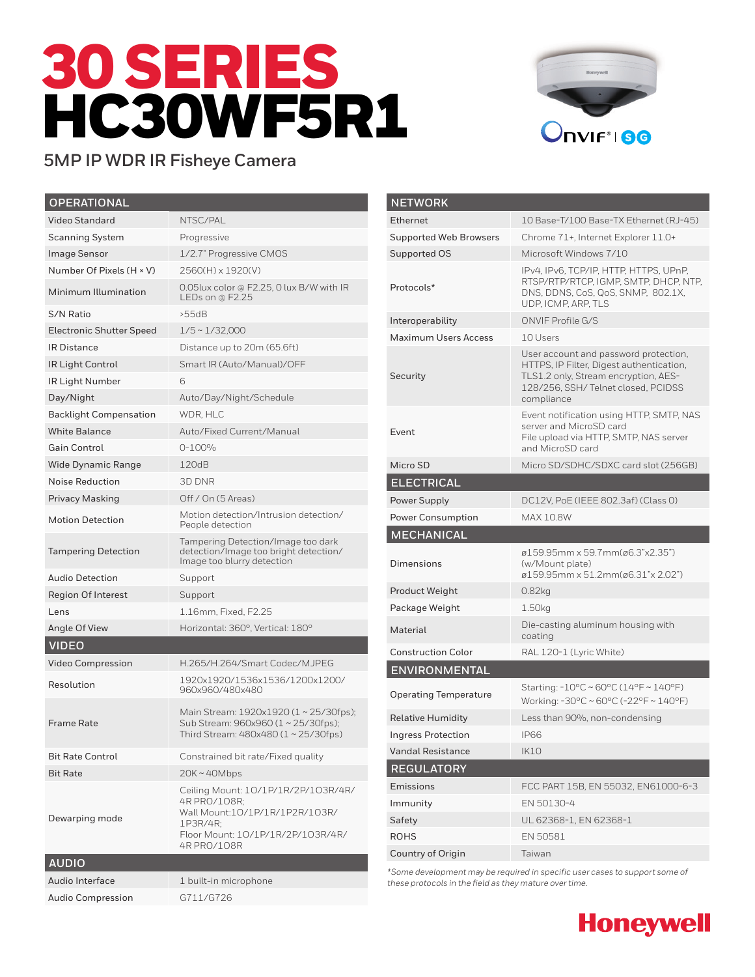# 30 SERIES HC30WF5R1



## **5MP IP WDR IR Fisheye Camera**

| <b>OPERATIONAL</b>              |                                                                                                                                                       |
|---------------------------------|-------------------------------------------------------------------------------------------------------------------------------------------------------|
| <b>Video Standard</b>           | NTSC/PAL                                                                                                                                              |
| <b>Scanning System</b>          | Progressive                                                                                                                                           |
| <b>Image Sensor</b>             | 1/2.7" Progressive CMOS                                                                                                                               |
| Number Of Pixels (H × V)        | 2560(H) x 1920(V)                                                                                                                                     |
| Minimum Illumination            | 0.05lux color @ F2.25, 0 lux B/W with IR<br>LEDs on @ $F2.25$                                                                                         |
| S/N Ratio                       | >55dB                                                                                                                                                 |
| <b>Electronic Shutter Speed</b> | $1/5 \sim 1/32,000$                                                                                                                                   |
| <b>IR Distance</b>              | Distance up to 20m (65.6ft)                                                                                                                           |
| <b>IR Light Control</b>         | Smart IR (Auto/Manual)/OFF                                                                                                                            |
| IR Light Number                 | 6                                                                                                                                                     |
| Day/Night                       | Auto/Day/Night/Schedule                                                                                                                               |
| <b>Backlight Compensation</b>   | WDR, HLC                                                                                                                                              |
| <b>White Balance</b>            | Auto/Fixed Current/Manual                                                                                                                             |
| <b>Gain Control</b>             | $0 - 100%$                                                                                                                                            |
| <b>Wide Dynamic Range</b>       | 120dB                                                                                                                                                 |
| Noise Reduction                 | 3D DNR                                                                                                                                                |
| <b>Privacy Masking</b>          | Off / On (5 Areas)                                                                                                                                    |
| <b>Motion Detection</b>         | Motion detection/Intrusion detection/<br>People detection                                                                                             |
| <b>Tampering Detection</b>      | Tampering Detection/Image too dark<br>detection/Image too bright detection/<br>Image too blurry detection                                             |
| Audio Detection                 | Support                                                                                                                                               |
| <b>Region Of Interest</b>       | Support                                                                                                                                               |
| Lens                            | 1.16mm, Fixed, F2.25                                                                                                                                  |
| Angle Of View                   | Horizontal: 360°, Vertical: 180°                                                                                                                      |
| <b>VIDEO</b>                    |                                                                                                                                                       |
| <b>Video Compression</b>        | H.265/H.264/Smart Codec/MJPEG                                                                                                                         |
| Resolution                      | 1920x1920/1536x1536/1200x1200/<br>960x960/480x480                                                                                                     |
| Frame Rate                      | Main Stream: 1920x1920 (1~25/30fps);<br>Sub Stream: 960x960 (1~25/30fps);<br>Third Stream: 480x480 (1 ~ 25/30fps)                                     |
| <b>Bit Rate Control</b>         | Constrained bit rate/Fixed quality                                                                                                                    |
| <b>Bit Rate</b>                 | $20K \sim 40Mbps$                                                                                                                                     |
| Dewarping mode                  | Ceiling Mount: 10/1P/1R/2P/103R/4R/<br>4R PRO/108R;<br>Wall Mount:10/1P/1R/1P2R/103R/<br>1P3R/4R;<br>Floor Mount: 10/1P/1R/2P/103R/4R/<br>4R PRO/108R |
| <b>AUDIO</b>                    |                                                                                                                                                       |
| Audio Interface                 | 1 built-in microphone                                                                                                                                 |
| <b>Audio Compression</b>        | G711/G726                                                                                                                                             |

| <b>NETWORK</b>                   |                                                                                                                                                                               |
|----------------------------------|-------------------------------------------------------------------------------------------------------------------------------------------------------------------------------|
| Ethernet                         | 10 Base-T/100 Base-TX Ethernet (RJ-45)                                                                                                                                        |
| <b>Supported Web Browsers</b>    | Chrome 71+, Internet Explorer 11.0+                                                                                                                                           |
| Supported OS                     | Microsoft Windows 7/10                                                                                                                                                        |
| Protocols*                       | IPv4, IPv6, TCP/IP, HTTP, HTTPS, UPnP,<br>RTSP/RTP/RTCP, IGMP, SMTP, DHCP, NTP,<br>DNS, DDNS, CoS, QoS, SNMP, 802.1X,<br>UDP, ICMP, ARP, TLS                                  |
| Interoperability                 | <b>ONVIF Profile G/S</b>                                                                                                                                                      |
| Maximum Users Access             | 10 Users                                                                                                                                                                      |
| Security                         | User account and password protection,<br>HTTPS, IP Filter, Digest authentication,<br>TLS1.2 only, Stream encryption, AES-<br>128/256, SSH/Telnet closed, PCIDSS<br>compliance |
| Event                            | Event notification using HTTP, SMTP, NAS<br>server and MicroSD card<br>File upload via HTTP, SMTP, NAS server<br>and MicroSD card                                             |
| Micro SD                         | Micro SD/SDHC/SDXC card slot (256GB)                                                                                                                                          |
| <b>ELECTRICAL</b>                |                                                                                                                                                                               |
| Power Supply                     | DC12V, PoE (IEEE 802.3af) (Class 0)                                                                                                                                           |
| <b>Power Consumption</b>         | <b>MAX 10.8W</b>                                                                                                                                                              |
|                                  |                                                                                                                                                                               |
| <b>MECHANICAL</b>                |                                                                                                                                                                               |
| Dimensions                       | ø159.95mm x 59.7mm(ø6.3"x2.35")<br>(w/Mount plate)<br>ø159.95mm x 51.2mm(ø6.31"x 2.02")                                                                                       |
| Product Weight                   | 0.82kg                                                                                                                                                                        |
| Package Weight                   | 1.50kg                                                                                                                                                                        |
| Material                         | Die-casting aluminum housing with<br>coating                                                                                                                                  |
| <b>Construction Color</b>        | RAL 120-1 (Lyric White)                                                                                                                                                       |
| <b>ENVIRONMENTAL</b>             |                                                                                                                                                                               |
| <b>Operating Temperature</b>     | Starting: $-10^{\circ}$ C ~ 60°C (14°F ~ 140°F)<br>Working: -30°C ~ 60°C (-22°F ~ 140°F)                                                                                      |
| <b>Relative Humidity</b>         | Less than 90%, non-condensing                                                                                                                                                 |
| <b>Ingress Protection</b>        | IP66                                                                                                                                                                          |
| <b>Vandal Resistance</b>         | <b>IK10</b>                                                                                                                                                                   |
| <b>REGULATORY</b>                |                                                                                                                                                                               |
| Emissions                        | FCC PART 15B, EN 55032, EN61000-6-3                                                                                                                                           |
| Immunity                         | EN 50130-4                                                                                                                                                                    |
| Safety                           | UL 62368-1, EN 62368-1                                                                                                                                                        |
| <b>ROHS</b><br>Country of Origin | EN 50581                                                                                                                                                                      |

*\*Some development may be required in specific user cases to support some of these protocols in the field as they mature over time.*